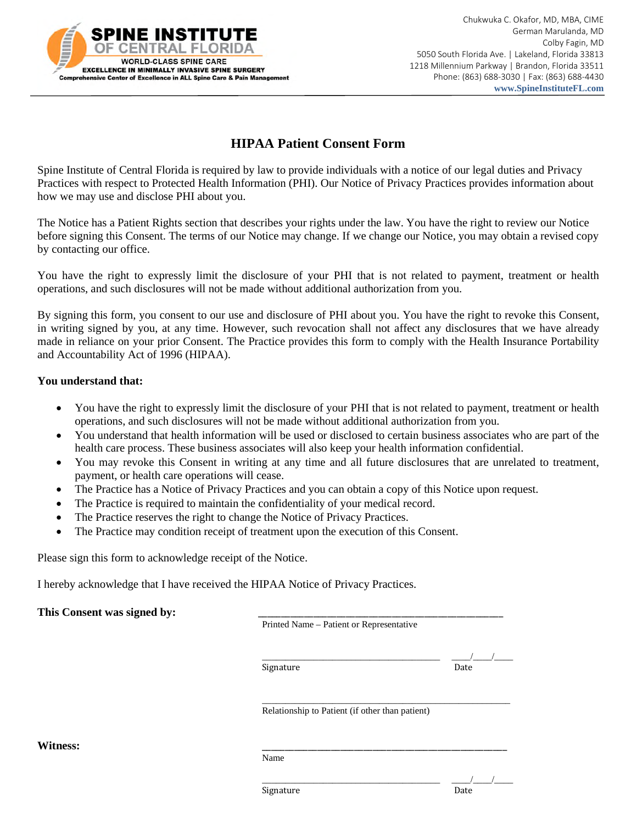

 Chukwuka C. Okafor, MD, MBA, CIME German Marulanda, MD Colby Fagin, MD 5050 South Florida Ave. | Lakeland, Florida 33813 1218 Millennium Parkway | Brandon, Florida 33511 Phone: (863) 688-3030 | Fax: (863) 688-4430  **www.SpineInstituteFL.com**

## **HIPAA Patient Consent Form**

Spine Institute of Central Florida is required by law to provide individuals with a notice of our legal duties and Privacy Practices with respect to Protected Health Information (PHI). Our Notice of Privacy Practices provides information about how we may use and disclose PHI about you.

The Notice has a Patient Rights section that describes your rights under the law. You have the right to review our Notice before signing this Consent. The terms of our Notice may change. If we change our Notice, you may obtain a revised copy by contacting our office.

You have the right to expressly limit the disclosure of your PHI that is not related to payment, treatment or health operations, and such disclosures will not be made without additional authorization from you.

By signing this form, you consent to our use and disclosure of PHI about you. You have the right to revoke this Consent, in writing signed by you, at any time. However, such revocation shall not affect any disclosures that we have already made in reliance on your prior Consent. The Practice provides this form to comply with the Health Insurance Portability and Accountability Act of 1996 (HIPAA).

## **You understand that:**

- You have the right to expressly limit the disclosure of your PHI that is not related to payment, treatment or health operations, and such disclosures will not be made without additional authorization from you.
- You understand that health information will be used or disclosed to certain business associates who are part of the health care process. These business associates will also keep your health information confidential.
- You may revoke this Consent in writing at any time and all future disclosures that are unrelated to treatment, payment, or health care operations will cease.
- The Practice has a Notice of Privacy Practices and you can obtain a copy of this Notice upon request.
- The Practice is required to maintain the confidentiality of your medical record.
- The Practice reserves the right to change the Notice of Privacy Practices.
- The Practice may condition receipt of treatment upon the execution of this Consent.

Please sign this form to acknowledge receipt of the Notice.

I hereby acknowledge that I have received the HIPAA Notice of Privacy Practices.

| This Consent was signed by: |                                          |
|-----------------------------|------------------------------------------|
|                             | Printed Name – Patient or Representative |

Printed Name – Patient or Representative

Signature Date

\_\_\_\_\_\_\_\_\_\_\_\_\_\_\_\_\_\_\_\_\_\_\_\_\_\_\_\_\_\_\_\_\_\_\_\_\_\_ \_\_\_\_/\_\_\_\_/\_\_\_\_

\_\_\_\_\_\_\_\_\_\_\_\_\_\_\_\_\_\_\_\_\_\_\_\_\_\_\_\_\_\_\_\_\_\_\_\_\_\_\_\_\_\_\_\_\_\_\_\_\_\_\_\_\_ Relationship to Patient (if other than patient)

**Witness:** \_\_\_\_\_\_\_\_\_\_\_\_\_\_\_\_\_\_\_\_\_\_\_\_\_\_\_\_\_\_\_\_\_\_\_\_\_\_\_\_\_\_\_\_\_\_\_\_\_\_\_\_\_

Name

Signature Date

\_\_\_\_\_\_\_\_\_\_\_\_\_\_\_\_\_\_\_\_\_\_\_\_\_\_\_\_\_\_\_\_\_\_\_\_\_\_ \_\_\_\_/\_\_\_\_/\_\_\_\_